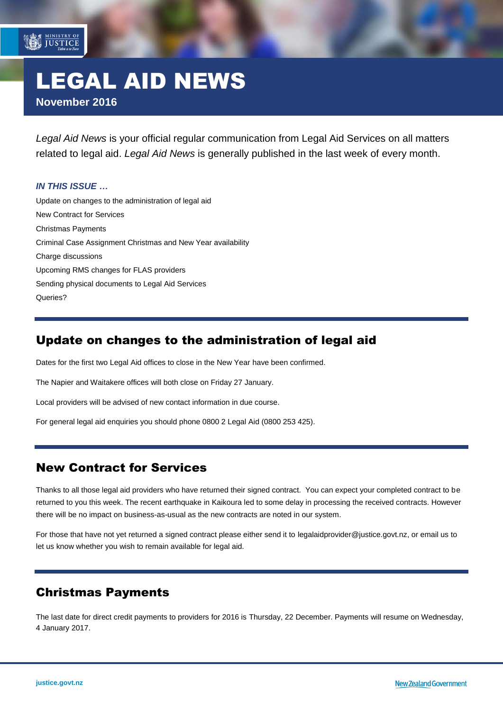# LEGAL AID NEWS **November 2016**

*Legal Aid News* is your official regular communication from Legal Aid Services on all matters related to legal aid. *Legal Aid News* is generally published in the last week of every month.

#### *IN THIS ISSUE …*

MINISTRY OF

[Update on changes to the administration of legal aid](#page-0-0) [New Contract for Services](#page-0-1) [Christmas Payments](#page-0-2) [Criminal Case Assignment Christmas and New Year availability](#page-1-0) [Charge discussions](#page-1-1) [Upcoming RMS changes for FLAS providers](#page-1-2) [Sending physical documents to Legal Aid Services](#page-1-3) Queries?

#### <span id="page-0-0"></span>Update on changes to the administration of legal aid

Dates for the first two Legal Aid offices to close in the New Year have been confirmed.

The Napier and Waitakere offices will both close on Friday 27 January.

Local providers will be advised of new contact information in due course.

<span id="page-0-1"></span>For general legal aid enquiries you should phone 0800 2 Legal Aid (0800 253 425).

#### New Contract for Services

Thanks to all those legal aid providers who have returned their signed contract. You can expect your completed contract to be returned to you this week. The recent earthquake in Kaikoura led to some delay in processing the received contracts. However there will be no impact on business-as-usual as the new contracts are noted in our system.

<span id="page-0-2"></span>For those that have not yet returned a signed contract please either send it to [legalaidprovider@justice.govt.nz,](mailto:legalaidprovider@justice.govt.nz) or email us to let us know whether you wish to remain available for legal aid.

#### Christmas Payments

The last date for direct credit payments to providers for 2016 is Thursday, 22 December. Payments will resume on Wednesday, 4 January 2017.